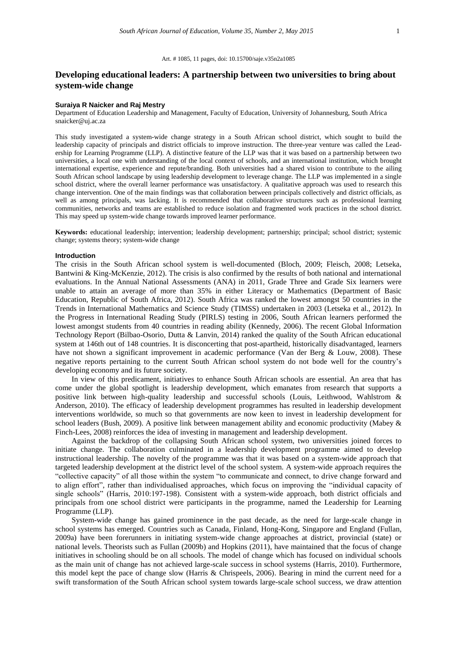### Art. # 1085, 11 pages, doi: 10.15700/saje.v35n2a1085

# **Developing educational leaders: A partnership between two universities to bring about system-wide change**

### **Suraiya R Naicker and Raj Mestry**

Department of Education Leadership and Management, Faculty of Education, University of Johannesburg, South Africa snaicker@uj.ac.za

This study investigated a system-wide change strategy in a South African school district, which sought to build the leadership capacity of principals and district officials to improve instruction. The three-year venture was called the Leadership for Learning Programme (LLP). A distinctive feature of the LLP was that it was based on a partnership between two universities, a local one with understanding of the local context of schools, and an international institution, which brought international expertise, experience and repute/branding. Both universities had a shared vision to contribute to the ailing South African school landscape by using leadership development to leverage change. The LLP was implemented in a single school district, where the overall learner performance was unsatisfactory. A qualitative approach was used to research this change intervention. One of the main findings was that collaboration between principals collectively and district officials, as well as among principals, was lacking. It is recommended that collaborative structures such as professional learning communities, networks and teams are established to reduce isolation and fragmented work practices in the school district. This may speed up system-wide change towards improved learner performance.

**Keywords:** educational leadership; intervention; leadership development; partnership; principal; school district; systemic change; systems theory; system-wide change

## **Introduction**

The crisis in the South African school system is well-documented (Bloch, 2009; Fleisch, 2008; Letseka, Bantwini & King-McKenzie, 2012). The crisis is also confirmed by the results of both national and international evaluations. In the Annual National Assessments (ANA) in 2011, Grade Three and Grade Six learners were unable to attain an average of more than 35% in either Literacy or Mathematics (Department of Basic Education, Republic of South Africa, 2012). South Africa was ranked the lowest amongst 50 countries in the Trends in International Mathematics and Science Study (TIMSS) undertaken in 2003 (Letseka et al., 2012). In the Progress in International Reading Study (PIRLS) testing in 2006, South African learners performed the lowest amongst students from 40 countries in reading ability (Kennedy, 2006). The recent Global Information Technology Report (Bilbao-Osorio, Dutta & Lanvin, 2014) ranked the quality of the South African educational system at 146th out of 148 countries. It is disconcerting that post-apartheid, historically disadvantaged, learners have not shown a significant improvement in academic performance (Van der Berg & Louw, 2008). These negative reports pertaining to the current South African school system do not bode well for the country"s developing economy and its future society.

In view of this predicament, initiatives to enhance South African schools are essential. An area that has come under the global spotlight is leadership development, which emanates from research that supports a positive link between high-quality leadership and successful schools (Louis, Leithwood, Wahlstrom & Anderson, 2010). The efficacy of leadership development programmes has resulted in leadership development interventions worldwide, so much so that governments are now keen to invest in leadership development for school leaders (Bush, 2009). A positive link between management ability and economic productivity (Mabey & Finch-Lees, 2008) reinforces the idea of investing in management and leadership development.

Against the backdrop of the collapsing South African school system, two universities joined forces to initiate change. The collaboration culminated in a leadership development programme aimed to develop instructional leadership. The novelty of the programme was that it was based on a system-wide approach that targeted leadership development at the district level of the school system. A system-wide approach requires the "collective capacity" of all those within the system "to communicate and connect, to drive change forward and to align effort", rather than individualised approaches, which focus on improving the "individual capacity of single schools" (Harris, 2010:197-198). Consistent with a system-wide approach, both district officials and principals from one school district were participants in the programme, named the Leadership for Learning Programme (LLP).

System-wide change has gained prominence in the past decade, as the need for large-scale change in school systems has emerged. Countries such as Canada, Finland, Hong-Kong, Singapore and England (Fullan, 2009a) have been forerunners in initiating system-wide change approaches at district, provincial (state) or national levels. Theorists such as Fullan (2009b) and Hopkins (2011), have maintained that the focus of change initiatives in schooling should be on all schools. The model of change which has focused on individual schools as the main unit of change has not achieved large-scale success in school systems (Harris, 2010). Furthermore, this model kept the pace of change slow (Harris & Chrispeels, 2006). Bearing in mind the current need for a swift transformation of the South African school system towards large-scale school success, we draw attention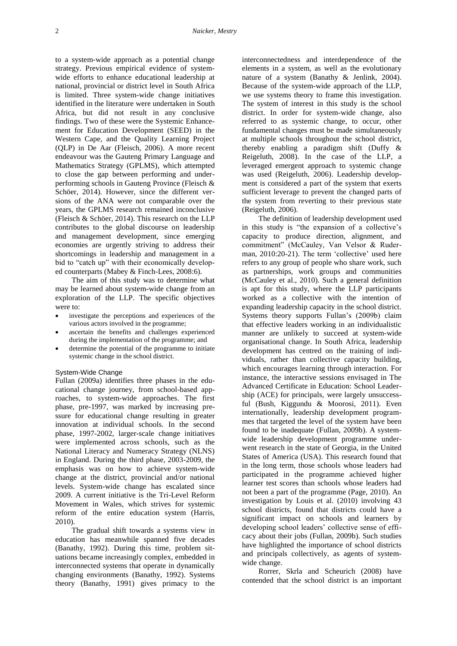to a system-wide approach as a potential change strategy. Previous empirical evidence of systemwide efforts to enhance educational leadership at national, provincial or district level in South Africa is limited. Three system-wide change initiatives identified in the literature were undertaken in South Africa, but did not result in any conclusive findings. Two of these were the Systemic Enhancement for Education Development (SEED) in the Western Cape, and the Quality Learning Project (QLP) in De Aar (Fleisch, 2006). A more recent endeavour was the Gauteng Primary Language and Mathematics Strategy (GPLMS), which attempted to close the gap between performing and underperforming schools in Gauteng Province (Fleisch & Schöer, 2014). However, since the different versions of the ANA were not comparable over the years, the GPLMS research remained inconclusive (Fleisch & Schöer, 2014). This research on the LLP contributes to the global discourse on leadership and management development, since emerging economies are urgently striving to address their shortcomings in leadership and management in a bid to "catch up" with their economically developed counterparts (Mabey & Finch-Lees, 2008:6).

The aim of this study was to determine what may be learned about system-wide change from an exploration of the LLP. The specific objectives were to:

- investigate the perceptions and experiences of the various actors involved in the programme;
- ascertain the benefits and challenges experienced during the implementation of the programme; and
- determine the potential of the programme to initiate systemic change in the school district.

### System-Wide Change

Fullan (2009a) identifies three phases in the educational change journey, from school-based approaches, to system-wide approaches. The first phase, pre-1997, was marked by increasing pressure for educational change resulting in greater innovation at individual schools. In the second phase, 1997-2002, larger-scale change initiatives were implemented across schools, such as the National Literacy and Numeracy Strategy (NLNS) in England. During the third phase, 2003-2009, the emphasis was on how to achieve system-wide change at the district, provincial and/or national levels. System-wide change has escalated since 2009. A current initiative is the Tri-Level Reform Movement in Wales, which strives for systemic reform of the entire education system (Harris, 2010).

The gradual shift towards a systems view in education has meanwhile spanned five decades (Banathy, 1992). During this time, problem situations became increasingly complex, embedded in interconnected systems that operate in dynamically changing environments (Banathy, 1992). Systems theory (Banathy, 1991) gives primacy to the

interconnectedness and interdependence of the elements in a system, as well as the evolutionary nature of a system (Banathy & Jenlink, 2004). Because of the system-wide approach of the LLP, we use systems theory to frame this investigation. The system of interest in this study is the school district. In order for system-wide change, also referred to as systemic change, to occur, other fundamental changes must be made simultaneously at multiple schools throughout the school district, thereby enabling a paradigm shift (Duffy & Reigeluth, 2008). In the case of the LLP, a leveraged emergent approach to systemic change was used (Reigeluth, 2006). Leadership development is considered a part of the system that exerts sufficient leverage to prevent the changed parts of the system from reverting to their previous state (Reigeluth, 2006).

The definition of leadership development used in this study is "the expansion of a collective's capacity to produce direction, alignment, and commitment" (McCauley, Van Velsor & Ruderman, 2010:20-21). The term 'collective' used here refers to any group of people who share work, such as partnerships, work groups and communities (McCauley et al., 2010). Such a general definition is apt for this study, where the LLP participants worked as a collective with the intention of expanding leadership capacity in the school district. Systems theory supports Fullan"s (2009b) claim that effective leaders working in an individualistic manner are unlikely to succeed at system-wide organisational change. In South Africa, leadership development has centred on the training of individuals, rather than collective capacity building, which encourages learning through interaction. For instance, the interactive sessions envisaged in The Advanced Certificate in Education: School Leadership (ACE) for principals, were largely unsuccessful (Bush, Kiggundu & Moorosi, 2011). Even internationally, leadership development programmes that targeted the level of the system have been found to be inadequate (Fullan, 2009b). A systemwide leadership development programme underwent research in the state of Georgia, in the United States of America (USA). This research found that in the long term, those schools whose leaders had participated in the programme achieved higher learner test scores than schools whose leaders had not been a part of the programme (Page, 2010). An investigation by Louis et al. (2010) involving 43 school districts, found that districts could have a significant impact on schools and learners by developing school leaders" collective sense of efficacy about their jobs (Fullan, 2009b). Such studies have highlighted the importance of school districts and principals collectively, as agents of systemwide change.

Rorrer, Skrla and Scheurich (2008) have contended that the school district is an important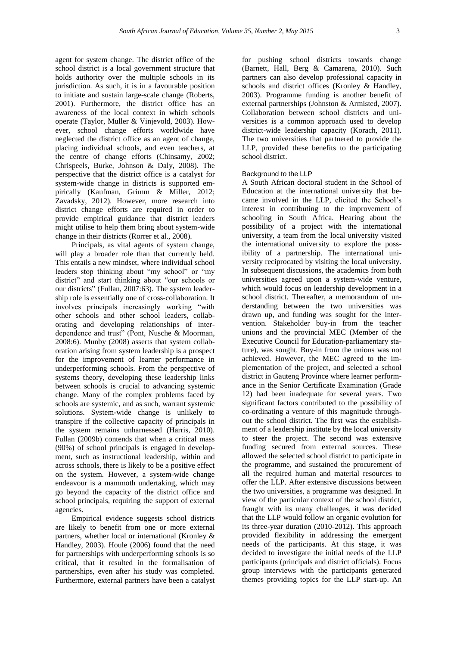agent for system change. The district office of the school district is a local government structure that holds authority over the multiple schools in its jurisdiction. As such, it is in a favourable position to initiate and sustain large-scale change (Roberts, 2001). Furthermore, the district office has an awareness of the local context in which schools operate (Taylor, Muller & Vinjevold, 2003). However, school change efforts worldwide have neglected the district office as an agent of change, placing individual schools, and even teachers, at the centre of change efforts (Chinsamy, 2002; Chrispeels, Burke, Johnson & Daly, 2008). The perspective that the district office is a catalyst for system-wide change in districts is supported empirically (Kaufman, Grimm & Miller, 2012; Zavadsky, 2012). However, more research into district change efforts are required in order to provide empirical guidance that district leaders might utilise to help them bring about system-wide change in their districts (Rorrer et al., 2008).

Principals, as vital agents of system change, will play a broader role than that currently held. This entails a new mindset, where individual school leaders stop thinking about "my school" or "my district" and start thinking about "our schools or our districts" (Fullan, 2007:63). The system leadership role is essentially one of cross-collaboration. It involves principals increasingly working "with other schools and other school leaders, collaborating and developing relationships of interdependence and trust" (Pont, Nusche & Moorman, 2008:6). Munby (2008) asserts that system collaboration arising from system leadership is a prospect for the improvement of learner performance in underperforming schools. From the perspective of systems theory, developing these leadership links between schools is crucial to advancing systemic change. Many of the complex problems faced by schools are systemic, and as such, warrant systemic solutions. System-wide change is unlikely to transpire if the collective capacity of principals in the system remains unharnessed (Harris, 2010). Fullan (2009b) contends that when a critical mass (90%) of school principals is engaged in development, such as instructional leadership, within and across schools, there is likely to be a positive effect on the system. However, a system-wide change endeavour is a mammoth undertaking, which may go beyond the capacity of the district office and school principals, requiring the support of external agencies.

Empirical evidence suggests school districts are likely to benefit from one or more external partners, whether local or international (Kronley & Handley, 2003). Houle (2006) found that the need for partnerships with underperforming schools is so critical, that it resulted in the formalisation of partnerships, even after his study was completed. Furthermore, external partners have been a catalyst

for pushing school districts towards change (Barnett, Hall, Berg & Camarena, 2010). Such partners can also develop professional capacity in schools and district offices (Kronley & Handley, 2003). Programme funding is another benefit of external partnerships (Johnston & Armisted, 2007). Collaboration between school districts and universities is a common approach used to develop district-wide leadership capacity (Korach, 2011). The two universities that partnered to provide the LLP, provided these benefits to the participating school district.

# Background to the LLP

A South African doctoral student in the School of Education at the international university that became involved in the LLP, elicited the School"s interest in contributing to the improvement of schooling in South Africa. Hearing about the possibility of a project with the international university, a team from the local university visited the international university to explore the possibility of a partnership. The international university reciprocated by visiting the local university. In subsequent discussions, the academics from both universities agreed upon a system-wide venture, which would focus on leadership development in a school district. Thereafter, a memorandum of understanding between the two universities was drawn up, and funding was sought for the intervention. Stakeholder buy-in from the teacher unions and the provincial MEC (Member of the Executive Council for Education-parliamentary stature), was sought. Buy-in from the unions was not achieved. However, the MEC agreed to the implementation of the project, and selected a school district in Gauteng Province where learner performance in the Senior Certificate Examination (Grade 12) had been inadequate for several years. Two significant factors contributed to the possibility of co-ordinating a venture of this magnitude throughout the school district. The first was the establishment of a leadership institute by the local university to steer the project. The second was extensive funding secured from external sources. These allowed the selected school district to participate in the programme, and sustained the procurement of all the required human and material resources to offer the LLP. After extensive discussions between the two universities, a programme was designed. In view of the particular context of the school district, fraught with its many challenges, it was decided that the LLP would follow an organic evolution for its three-year duration (2010-2012). This approach provided flexibility in addressing the emergent needs of the participants. At this stage, it was decided to investigate the initial needs of the LLP participants (principals and district officials). Focus group interviews with the participants generated themes providing topics for the LLP start-up. An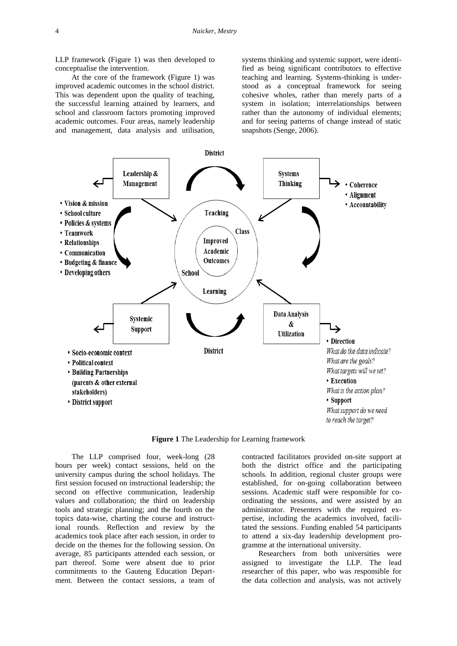LLP framework (Figure 1) was then developed to conceptualise the intervention.

At the core of the framework (Figure 1) was improved academic outcomes in the school district. This was dependent upon the quality of teaching, the successful learning attained by learners, and school and classroom factors promoting improved academic outcomes. Four areas, namely leadership and management, data analysis and utilisation, systems thinking and systemic support, were identified as being significant contributors to effective teaching and learning. Systems-thinking is understood as a conceptual framework for seeing cohesive wholes, rather than merely parts of a system in isolation; interrelationships between rather than the autonomy of individual elements; and for seeing patterns of change instead of static snapshots (Senge, 2006).



**Figure 1** The Leadership for Learning framework

The LLP comprised four, week-long (28 hours per week) contact sessions, held on the university campus during the school holidays. The first session focused on instructional leadership; the second on effective communication, leadership values and collaboration; the third on leadership tools and strategic planning; and the fourth on the topics data-wise, charting the course and instructional rounds. Reflection and review by the academics took place after each session, in order to decide on the themes for the following session. On average, 85 participants attended each session, or part thereof. Some were absent due to prior commitments to the Gauteng Education Department. Between the contact sessions, a team of contracted facilitators provided on-site support at both the district office and the participating schools. In addition, regional cluster groups were established, for on-going collaboration between sessions. Academic staff were responsible for coordinating the sessions, and were assisted by an administrator. Presenters with the required expertise, including the academics involved, facilitated the sessions. Funding enabled 54 participants to attend a six-day leadership development programme at the international university.

Researchers from both universities were assigned to investigate the LLP. The lead researcher of this paper, who was responsible for the data collection and analysis, was not actively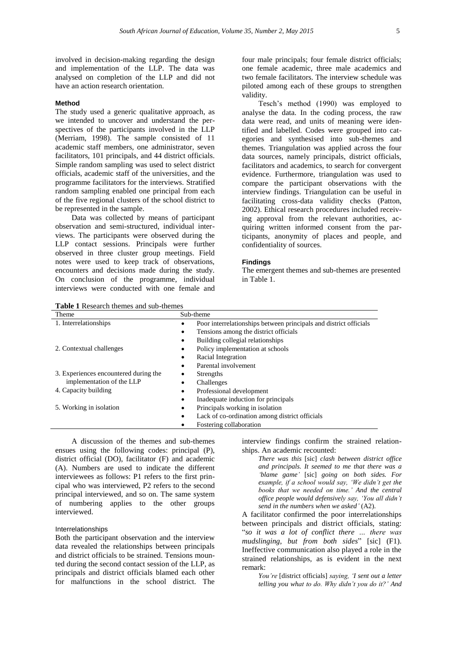involved in decision-making regarding the design and implementation of the LLP. The data was analysed on completion of the LLP and did not have an action research orientation.

### **Method**

The study used a generic qualitative approach, as we intended to uncover and understand the perspectives of the participants involved in the LLP (Merriam, 1998). The sample consisted of 11 academic staff members, one administrator, seven facilitators, 101 principals, and 44 district officials. Simple random sampling was used to select district officials, academic staff of the universities, and the programme facilitators for the interviews. Stratified random sampling enabled one principal from each of the five regional clusters of the school district to be represented in the sample.

Data was collected by means of participant observation and semi-structured, individual interviews. The participants were observed during the LLP contact sessions. Principals were further observed in three cluster group meetings. Field notes were used to keep track of observations, encounters and decisions made during the study. On conclusion of the programme, individual interviews were conducted with one female and four male principals; four female district officials; one female academic, three male academics and two female facilitators. The interview schedule was piloted among each of these groups to strengthen validity.

Tesch"s method (1990) was employed to analyse the data. In the coding process, the raw data were read, and units of meaning were identified and labelled. Codes were grouped into categories and synthesised into sub-themes and themes. Triangulation was applied across the four data sources, namely principals, district officials, facilitators and academics, to search for convergent evidence. Furthermore, triangulation was used to compare the participant observations with the interview findings. Triangulation can be useful in facilitating cross-data validity checks (Patton, 2002). Ethical research procedures included receiving approval from the relevant authorities, acquiring written informed consent from the participants, anonymity of places and people, and confidentiality of sources.

### **Findings**

The emergent themes and sub-themes are presented in Table 1.

|  |  | <b>Table 1</b> Research themes and sub-themes |
|--|--|-----------------------------------------------|
|--|--|-----------------------------------------------|

| Theme                                 | Sub-theme                                                              |  |
|---------------------------------------|------------------------------------------------------------------------|--|
| 1. Interrelationships                 | Poor interrelationships between principals and district officials<br>٠ |  |
|                                       | Tensions among the district officials<br>٠                             |  |
|                                       | Building collegial relationships<br>٠                                  |  |
| 2. Contextual challenges              | Policy implementation at schools<br>٠                                  |  |
|                                       | Racial Integration<br>٠                                                |  |
|                                       | Parental involvement<br>٠                                              |  |
| 3. Experiences encountered during the | <b>Strengths</b><br>٠                                                  |  |
| implementation of the LLP             | Challenges<br>٠                                                        |  |
| 4. Capacity building                  | Professional development<br>٠                                          |  |
|                                       | Inadequate induction for principals<br>٠                               |  |
| 5. Working in isolation               | Principals working in isolation<br>٠                                   |  |
|                                       | Lack of co-ordination among district officials<br>٠                    |  |
|                                       | Fostering collaboration                                                |  |

A discussion of the themes and sub-themes ensues using the following codes: principal (P), district official (DO), facilitator (F) and academic (A). Numbers are used to indicate the different interviewees as follows: P1 refers to the first principal who was interviewed, P2 refers to the second principal interviewed, and so on. The same system of numbering applies to the other groups interviewed.

# Interrelationships

Both the participant observation and the interview data revealed the relationships between principals and district officials to be strained. Tensions mounted during the second contact session of the LLP, as principals and district officials blamed each other for malfunctions in the school district. The

interview findings confirm the strained relationships. An academic recounted:

> *There was this* [sic] *clash between district office and principals. It seemed to me that there was a 'blame game'* [sic] *going on both sides. For example, if a school would say, 'We didn't get the books that we needed on time.' And the central office people would defensively say, 'You all didn't send in the numbers when we asked'* (A2).

A facilitator confirmed the poor interrelationships between principals and district officials, stating: "*so it was a lot of conflict there … there was mudslinging, but from both sides*" [sic] (F1). Ineffective communication also played a role in the strained relationships, as is evident in the next remark:

*You're* [district officials] *saying, 'I sent out a letter telling you what to do. Why didn't you do it?' And*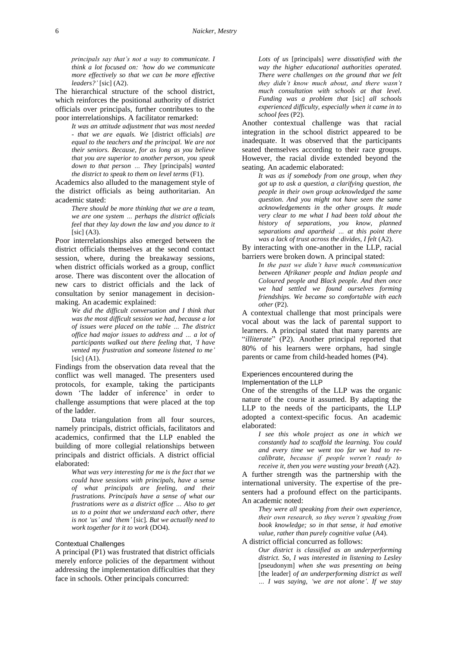*principals say that's not a way to communicate. I think a lot focused on: 'how do we communicate more effectively so that we can be more effective leaders?'* [sic] (A2).

The hierarchical structure of the school district, which reinforces the positional authority of district officials over principals, further contributes to the poor interrelationships. A facilitator remarked:

*It was an attitude adjustment that was most needed - that we are equals. We* [district officials] *are equal to the teachers and the principal. We are not their seniors. Because, for as long as you believe that you are superior to another person, you speak down to that person … They* [principals] *wanted the district to speak to them on level terms* (F1).

Academics also alluded to the management style of the district officials as being authoritarian. An academic stated:

*There should be more thinking that we are a team, we are one system … perhaps the district officials feel that they lay down the law and you dance to it*  $[sic]$  (A3).

Poor interrelationships also emerged between the district officials themselves at the second contact session, where, during the breakaway sessions, when district officials worked as a group, conflict arose. There was discontent over the allocation of new cars to district officials and the lack of consultation by senior management in decisionmaking. An academic explained:

*We did the difficult conversation and I think that was the most difficult session we had, because a lot of issues were placed on the table … The district office had major issues to address and … a lot of participants walked out there feeling that, 'I have vented my frustration and someone listened to me'*  $[sic] (A1)$ .

Findings from the observation data reveal that the conflict was well managed. The presenters used protocols, for example, taking the participants down 'The ladder of inference' in order to challenge assumptions that were placed at the top of the ladder.

Data triangulation from all four sources, namely principals, district officials, facilitators and academics, confirmed that the LLP enabled the building of more collegial relationships between principals and district officials. A district official elaborated:

*What was very interesting for me is the fact that we could have sessions with principals, have a sense of what principals are feeling, and their frustrations. Principals have a sense of what our frustrations were as a district office … Also to get us to a point that we understand each other, there is not 'us' and 'them'* [sic]*. But we actually need to work together for it to work* (DO4).

# Contextual Challenges

A principal (P1) was frustrated that district officials merely enforce policies of the department without addressing the implementation difficulties that they face in schools. Other principals concurred:

*Lots of us* [principals] *were dissatisfied with the way the higher educational authorities operated. There were challenges on the ground that we felt they didn't know much about, and there wasn't much consultation with schools at that level. Funding was a problem that* [sic] *all schools experienced difficulty, especially when it came in to school fees* (P2).

Another contextual challenge was that racial integration in the school district appeared to be inadequate. It was observed that the participants seated themselves according to their race groups. However, the racial divide extended beyond the seating. An academic elaborated:

*It was as if somebody from one group, when they got up to ask a question, a clarifying question, the people in their own group acknowledged the same question. And you might not have seen the same acknowledgements in the other groups. It made very clear to me what I had been told about the history of separations, you know, planned separations and apartheid … at this point there was a lack of trust across the divides, I felt* (A2).

By interacting with one-another in the LLP, racial barriers were broken down. A principal stated:

*In the past we didn't have much communication between Afrikaner people and Indian people and Coloured people and Black people. And then once we had settled we found ourselves forming friendships. We became so comfortable with each other* (P2).

A contextual challenge that most principals were vocal about was the lack of parental support to learners. A principal stated that many parents are "*illiterate*" (P2). Another principal reported that 80% of his learners were orphans, had single parents or came from child-headed homes (P4).

# Experiences encountered during the

Implementation of the LLP

One of the strengths of the LLP was the organic nature of the course it assumed. By adapting the LLP to the needs of the participants, the LLP adopted a context-specific focus. An academic elaborated:

*I see this whole project as one in which we constantly had to scaffold the learning. You could and every time we went too far we had to recalibrate, because if people weren't ready to receive it, then you were wasting your breath* (A2).

A further strength was the partnership with the international university. The expertise of the presenters had a profound effect on the participants. An academic noted:

*They were all speaking from their own experience, their own research, so they weren't speaking from book knowledge; so in that sense, it had emotive value, rather than purely cognitive value* (A4).

A district official concurred as follows:

*Our district is classified as an underperforming district. So, I was interested in listening to Lesley*  [pseudonym] *when she was presenting on being*  [the leader] *of an underperforming district as well … I was saying, 'we are not alone'. If we stay*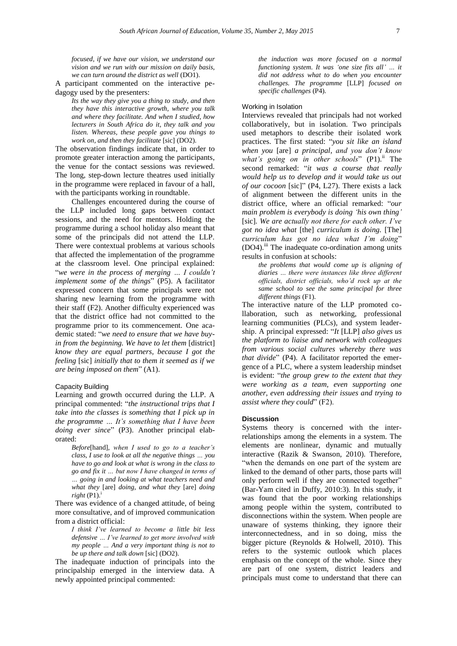*focused, if we have our vision, we understand our vision and we run with our mission on daily basis, we can turn around the district as well* (DO1).

A participant commented on the interactive pedagogy used by the presenters:

> *Its the way they give you a thing to study, and then they have this interactive growth, where you talk and where they facilitate. And when I studied, how lecturers in South Africa do it, they talk and you listen. Whereas, these people gave you things to work on, and then they facilitate* [sic] (DO2).

The observation findings indicate that, in order to promote greater interaction among the participants, the venue for the contact sessions was reviewed. The long, step-down lecture theatres used initially in the programme were replaced in favour of a hall, with the participants working in roundtable.

Challenges encountered during the course of the LLP included long gaps between contact sessions, and the need for mentors. Holding the programme during a school holiday also meant that some of the principals did not attend the LLP. There were contextual problems at various schools that affected the implementation of the programme at the classroom level. One principal explained: "*we were in the process of merging … I couldn't implement some of the things*" (P5). A facilitator expressed concern that some principals were not sharing new learning from the programme with their staff (F2). Another difficulty experienced was that the district office had not committed to the programme prior to its commencement. One academic stated: "*we need to ensure that we have buyin from the beginning. We have to let them* [district] *know they are equal partners, because I got the feeling* [sic] *initially that to them it seemed as if we are being imposed on them*" (A1).

### Capacity Building

Learning and growth occurred during the LLP. A principal commented: "*the instructional trips that I take into the classes is something that I pick up in the programme … It's something that I have been doing ever since*" (P3). Another principal elaborated:

> *Before*[hand], *when I used to go to a teacher's class, I use to look at all the negative things … you have to go and look at what is wrong in the class to go and fix it … but now I have changed in terms of … going in and looking at what teachers need and what they* [are] *doing, and what they* [are] *doing*   $right (P1).$

There was evidence of a changed attitude, of being more consultative, and of improved communication from a district official:

*I think I've learned to become a little bit less defensive … I've learned to get more involved with my people … And a very important thing is not to be up there and talk down* [sic] (DO2).

The inadequate induction of principals into the principalship emerged in the interview data. A newly appointed principal commented:

*the induction was more focused on a normal functioning system. It was 'one size fits all' … it did not address what to do when you encounter challenges. The programme* [LLP] *focused on specific challenges* (P4).

### Working in Isolation

Interviews revealed that principals had not worked collaboratively, but in isolation. Two principals used metaphors to describe their isolated work practices. The first stated: "*you sit like an island when you* [are] *a principal, and you don't know* what's going on in other schools" (P1).<sup>ii</sup> The second remarked: "*it was a course that really would help us to develop and it would take us out of our cocoon* [sic]" (P4, L27). There exists a lack of alignment between the different units in the district office, where an official remarked: "*our main problem is everybody is doing 'his own thing'*  [sic]*. We are actually not there for each other. I've got no idea what* [the] *curriculum is doing.* [The] *curriculum has got no idea what I'm doing*" (DO4).<sup>iii</sup> The inadequate co-ordination among units results in confusion at schools:

*the problems that would come up is aligning of diaries … there were instances like three different officials, district officials, who'd rock up at the same school to see the same principal for three different things* (F1).

The interactive nature of the LLP promoted collaboration, such as networking, professional learning communities (PLCs), and system leadership. A principal expressed: "*It* [LLP] *also gives us the platform to liaise and network with colleagues from various social cultures whereby there was that divide*" (P4). A facilitator reported the emergence of a PLC, where a system leadership mindset is evident: "*the group grew to the extent that they were working as a team, even supporting one another, even addressing their issues and trying to assist where they could*" (F2).

### **Discussion**

Systems theory is concerned with the interrelationships among the elements in a system. The elements are nonlinear, dynamic and mutually interactive (Razik & Swanson, 2010). Therefore, "when the demands on one part of the system are linked to the demand of other parts, those parts will only perform well if they are connected together" (Bar-Yam cited in Duffy, 2010:3). In this study, it was found that the poor working relationships among people within the system, contributed to disconnections within the system. When people are unaware of systems thinking, they ignore their interconnectedness, and in so doing, miss the bigger picture (Reynolds & Holwell, 2010). This refers to the systemic outlook which places emphasis on the concept of the whole. Since they are part of one system, district leaders and principals must come to understand that there can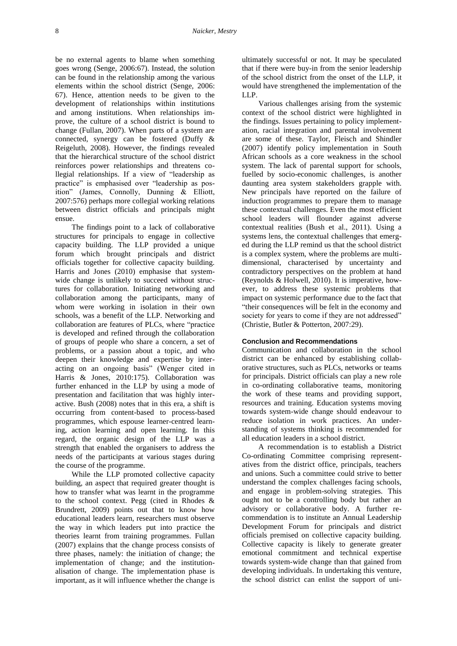be no external agents to blame when something goes wrong (Senge, 2006:67). Instead, the solution can be found in the relationship among the various elements within the school district (Senge, 2006: 67). Hence, attention needs to be given to the development of relationships within institutions and among institutions. When relationships improve, the culture of a school district is bound to change (Fullan, 2007). When parts of a system are connected, synergy can be fostered (Duffy & Reigeluth, 2008). However, the findings revealed that the hierarchical structure of the school district reinforces power relationships and threatens collegial relationships. If a view of "leadership as practice" is emphasised over "leadership as position" (James, Connolly, Dunning & Elliott, 2007:576) perhaps more collegial working relations between district officials and principals might ensue.

The findings point to a lack of collaborative structures for principals to engage in collective capacity building. The LLP provided a unique forum which brought principals and district officials together for collective capacity building. Harris and Jones (2010) emphasise that systemwide change is unlikely to succeed without structures for collaboration. Initiating networking and collaboration among the participants, many of whom were working in isolation in their own schools, was a benefit of the LLP. Networking and collaboration are features of PLCs, where "practice is developed and refined through the collaboration of groups of people who share a concern, a set of problems, or a passion about a topic, and who deepen their knowledge and expertise by interacting on an ongoing basis" (Wenger cited in Harris & Jones, 2010:175). Collaboration was further enhanced in the LLP by using a mode of presentation and facilitation that was highly interactive. Bush (2008) notes that in this era, a shift is occurring from content-based to process-based programmes, which espouse learner-centred learning, action learning and open learning. In this regard, the organic design of the LLP was a strength that enabled the organisers to address the needs of the participants at various stages during the course of the programme.

While the LLP promoted collective capacity building, an aspect that required greater thought is how to transfer what was learnt in the programme to the school context. Pegg (cited in Rhodes & Brundrett, 2009) points out that to know how educational leaders learn, researchers must observe the way in which leaders put into practice the theories learnt from training programmes. Fullan (2007) explains that the change process consists of three phases, namely: the initiation of change; the implementation of change; and the institutionalisation of change. The implementation phase is important, as it will influence whether the change is

ultimately successful or not. It may be speculated that if there were buy-in from the senior leadership of the school district from the onset of the LLP, it would have strengthened the implementation of the LLP.

Various challenges arising from the systemic context of the school district were highlighted in the findings. Issues pertaining to policy implementation, racial integration and parental involvement are some of these. Taylor, Fleisch and Shindler (2007) identify policy implementation in South African schools as a core weakness in the school system. The lack of parental support for schools, fuelled by socio-economic challenges, is another daunting area system stakeholders grapple with. New principals have reported on the failure of induction programmes to prepare them to manage these contextual challenges. Even the most efficient school leaders will flounder against adverse contextual realities (Bush et al., 2011). Using a systems lens, the contextual challenges that emerged during the LLP remind us that the school district is a complex system, where the problems are multidimensional, characterised by uncertainty and contradictory perspectives on the problem at hand (Reynolds & Holwell, 2010). It is imperative, however, to address these systemic problems that impact on systemic performance due to the fact that "their consequences will be felt in the economy and society for years to come if they are not addressed" (Christie, Butler & Potterton, 2007:29).

## **Conclusion and Recommendations**

Communication and collaboration in the school district can be enhanced by establishing collaborative structures, such as PLCs, networks or teams for principals. District officials can play a new role in co-ordinating collaborative teams, monitoring the work of these teams and providing support, resources and training. Education systems moving towards system-wide change should endeavour to reduce isolation in work practices. An understanding of systems thinking is recommended for all education leaders in a school district.

A recommendation is to establish a District Co-ordinating Committee comprising representatives from the district office, principals, teachers and unions. Such a committee could strive to better understand the complex challenges facing schools, and engage in problem-solving strategies. This ought not to be a controlling body but rather an advisory or collaborative body. A further recommendation is to institute an Annual Leadership Development Forum for principals and district officials premised on collective capacity building. Collective capacity is likely to generate greater emotional commitment and technical expertise towards system-wide change than that gained from developing individuals. In undertaking this venture, the school district can enlist the support of uni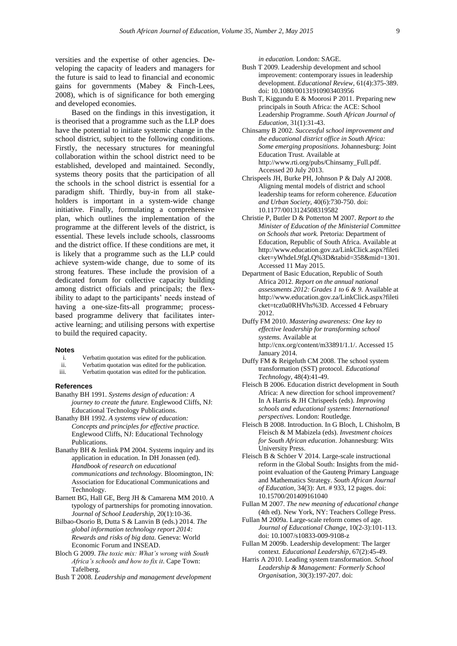versities and the expertise of other agencies. Developing the capacity of leaders and managers for the future is said to lead to financial and economic gains for governments (Mabey & Finch-Lees, 2008), which is of significance for both emerging and developed economies.

Based on the findings in this investigation, it is theorised that a programme such as the LLP does have the potential to initiate systemic change in the school district, subject to the following conditions. Firstly, the necessary structures for meaningful collaboration within the school district need to be established, developed and maintained. Secondly, systems theory posits that the participation of all the schools in the school district is essential for a paradigm shift. Thirdly, buy-in from all stakeholders is important in a system-wide change initiative. Finally, formulating a comprehensive plan, which outlines the implementation of the programme at the different levels of the district, is essential. These levels include schools, classrooms and the district office. If these conditions are met, it is likely that a programme such as the LLP could achieve system-wide change, due to some of its strong features. These include the provision of a dedicated forum for collective capacity building among district officials and principals; the flexibility to adapt to the participants' needs instead of having a one-size-fits-all programme; processbased programme delivery that facilitates interactive learning; and utilising persons with expertise to build the required capacity.

### **Notes**

- i. Verbatim quotation was edited for the publication.
- ii. Verbatim quotation was edited for the publication.<br>iii. Verbatim quotation was edited for the publication Verbatim quotation was edited for the publication.

#### **References**

- Banathy BH 1991. *Systems design of education: A journey to create the future.* Englewood Cliffs, NJ: Educational Technology Publications.
- Banathy BH 1992. *A systems view of education: Concepts and principles for effective practice.* Englewood Cliffs, NJ: Educational Technology Publications.
- Banathy BH & Jenlink PM 2004. Systems inquiry and its application in education. In DH Jonassen (ed). *Handbook of research on educational communications and technology.* Bloomington, IN: Association for Educational Communications and Technology.
- Barnett BG, Hall GE, Berg JH & Camarena MM 2010. A typology of partnerships for promoting innovation. *Journal of School Leadership,* 20(1):10-36.
- Bilbao-Osorio B, Dutta S & Lanvin B (eds.) 2014. *The global information technology report 2014: Rewards and risks of big data.* Geneva: World Economic Forum and INSEAD.
- Bloch G 2009. *The toxic mix: What's wrong with South Africa's schools and how to fix it.* Cape Town: Tafelberg.
- Bush T 2008. *Leadership and management development*

*in education.* London: SAGE.

- Bush T 2009. Leadership development and school improvement: contemporary issues in leadership development. *Educational Review,* 61(4):375-389. [doi: 10.1080/00131910903403956](http://www.tandfonline.com/doi/abs/10.1080/00131910903403956)
- Bush T, Kiggundu E & Moorosi P 2011. Preparing new principals in South Africa: the ACE: School Leadership Programme. *South African Journal of Education,* 31(1):31-43.
- Chinsamy B 2002. *Successful school improvement and the educational district office in South Africa: Some emerging propositions.* Johannesburg: Joint Education Trust. Available at [http://www.rti.org/pubs/Chinsamy\\_Full.pdf.](http://www.rti.org/pubs/Chinsamy_Full.pdf) Accessed 20 July 2013.
- Chrispeels JH, Burke PH, Johnson P & Daly AJ 2008. Aligning mental models of district and school leadership teams for reform coherence. *Education and Urban Society,* 40(6):730-750. [doi:](http://eus.sagepub.com/content/40/6/730.short)  [10.1177/0013124508319582](http://eus.sagepub.com/content/40/6/730.short)
- Christie P, Butler D & Potterton M 2007. *Report to the Minister of Education of the Ministerial Committee on Schools that work.* Pretoria: Department of Education, Republic of South Africa. Available at [http://www.education.gov.za/LinkClick.aspx?fileti](http://www.education.gov.za/LinkClick.aspx?fileticket=yWhdeL9fgLQ%3D&tabid=358&mid=1301) [cket=yWhdeL9fgLQ%3D&tabid=358&mid=1301.](http://www.education.gov.za/LinkClick.aspx?fileticket=yWhdeL9fgLQ%3D&tabid=358&mid=1301)  Accessed 11 May 2015.
- Department of Basic Education, Republic of South Africa 2012. *Report on the annual national assessments 2012: Grades 1 to 6 & 9.* Available at [http://www.education.gov.za/LinkClick.aspx?fileti](http://www.education.gov.za/LinkClick.aspx?fileticket=tcz0a0RHVhs%3D) [cket=tcz0a0RHVhs%3D.](http://www.education.gov.za/LinkClick.aspx?fileticket=tcz0a0RHVhs%3D) Accessed 4 February 2012.
- Duffy FM 2010. *Mastering awareness: One key to effective leadership for transforming school systems.* Available at [http://cnx.org/content/m33891/1.1/.](http://cnx.org/content/m33891/1.1/) Accessed 15 January 2014.
- Duffy FM & Reigeluth CM 2008. The school system transformation (SST) protocol. *Educational Technology,* 48(4):41-49.
- Fleisch B 2006. Education district development in South Africa: A new direction for school improvement? In A Harris & JH Chrispeels (eds). *Improving schools and educational systems: International perspectives.* London: Routledge.
- Fleisch B 2008. Introduction. In G Bloch, L Chisholm, B Fleisch & M Mabizela (eds). *Investment choices for South African education.* Johannesburg: Wits University Press.
- Fleisch B & Schöer V 2014. Large-scale instructional reform in the Global South: Insights from the midpoint evaluation of the Gauteng Primary Language and Mathematics Strategy. *South African Journal of Education,* 34(3): Art. # 933, 12 pages. doi: [10.15700/201409161040](http://www.sajournalofeducation.co.za/index.php/saje/article/view/933/443)
- Fullan M 2007. *The new meaning of educational change* (4th ed). New York, NY: Teachers College Press.
- Fullan M 2009a. Large-scale reform comes of age. *Journal of Educational Change,* 10(2-3):101-113. [doi: 10.1007/s10833-009-9108-z](http://link.springer.com/article/10.1007%2Fs10833-009-9108-z)
- Fullan M 2009b. Leadership development: The larger context. *Educational Leadership,* 67(2):45-49.
- Harris A 2010. Leading system transformation. *School Leadership & Management: Formerly School Organisation,* 30(3):197-207. [doi:](http://www.tandfonline.com/doi/abs/10.1080/13632434.2010.494080)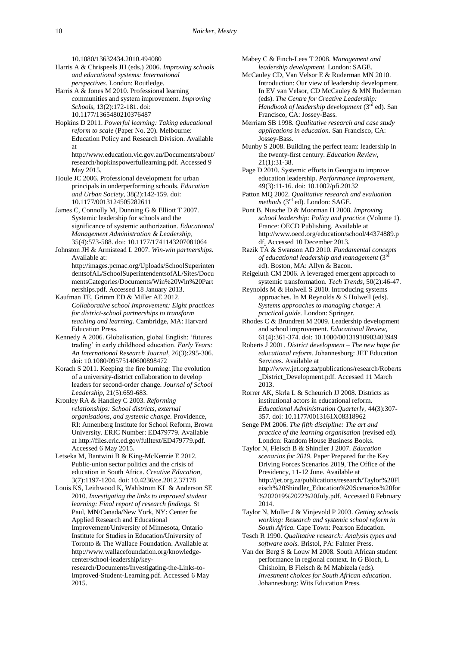[10.1080/13632434.2010.494080](http://www.tandfonline.com/doi/abs/10.1080/13632434.2010.494080)

Harris A & Chrispeels JH (eds.) 2006. *Improving schools and educational systems: International perspectives.* London: Routledge.

Harris A & Jones M 2010. Professional learning communities and system improvement. *Improving Schools,* 13(2):172-181. [doi:](http://imp.sagepub.com/content/13/2/172.abstract)  [10.1177/1365480210376487](http://imp.sagepub.com/content/13/2/172.abstract)

Hopkins D 2011. *Powerful learning: Taking educational reform to scale* (Paper No. 20). Melbourne: Education Policy and Research Division. Available at

[http://www.education.vic.gov.au/Documents/about/](http://www.education.vic.gov.au/Documents/about/research/hopkinspowerfullearning.pdf) [research/hopkinspowerfullearning.pdf.](http://www.education.vic.gov.au/Documents/about/research/hopkinspowerfullearning.pdf) Accessed 9 May 2015.

Houle JC 2006. Professional development for urban principals in underperforming schools. *Education and Urban Society,* 38(2):142-159. [doi:](http://eus.sagepub.com/content/38/2/142.abstract)  [10.1177/0013124505282611](http://eus.sagepub.com/content/38/2/142.abstract)

James C, Connolly M, Dunning G & Elliott T 2007. Systemic leadership for schools and the significance of systemic authorization. *Educational Management Administration & Leadership,* 35(4):573-588. [doi: 10.1177/1741143207081064](http://ema.sagepub.com/content/35/4/573.abstract)

Johnston JH & Armistead L 2007. *Win-win partnerships.*  Available at: [http://images.pcmac.org/Uploads/SchoolSuperinten](http://images.pcmac.org/Uploads/SchoolSuperintendentsofAL/SchoolSuperintendentsofAL/Sites/DocumentsCategories/Documents/Win%20Win%20Partnerships.pdf) [dentsofAL/SchoolSuperintendentsofAL/Sites/Docu](http://images.pcmac.org/Uploads/SchoolSuperintendentsofAL/SchoolSuperintendentsofAL/Sites/DocumentsCategories/Documents/Win%20Win%20Partnerships.pdf)

[mentsCategories/Documents/Win%20Win%20Part](http://images.pcmac.org/Uploads/SchoolSuperintendentsofAL/SchoolSuperintendentsofAL/Sites/DocumentsCategories/Documents/Win%20Win%20Partnerships.pdf) [nerships.pdf.](http://images.pcmac.org/Uploads/SchoolSuperintendentsofAL/SchoolSuperintendentsofAL/Sites/DocumentsCategories/Documents/Win%20Win%20Partnerships.pdf) Accessed 18 January 2013. Kaufman TE, Grimm ED & Miller AE 2012.

*Collaborative school Improvement: Eight practices for district-school partnerships to transform teaching and learning.* Cambridge, MA: Harvard Education Press.

Kennedy A 2006. Globalisation, global English: "futures trading" in early childhood education. *Early Years: An International Research Journal,* 26(3):295-306. [doi: 10.1080/09575140600898472](http://www.tandfonline.com/doi/abs/10.1080/09575140600898472)

Korach S 2011. Keeping the fire burning: The evolution of a university-district collaboration to develop leaders for second-order change. *Journal of School Leadership,* 21(5):659-683.

Kronley RA & Handley C 2003. *Reforming relationships: School districts, external organisations, and systemic change.* Providence, RI: Annenberg Institute for School Reform, Brown University. ERIC Number: ED479779. Available at [http://files.eric.ed.gov/fulltext/ED479779.pdf.](http://files.eric.ed.gov/fulltext/ED479779.pdf)  Accessed 6 May 2015.

Letseka M, Bantwini B & King-McKenzie E 2012. Public-union sector politics and the crisis of education in South Africa. *Creative Education,* 3(7):1197-1204. doi[: 10.4236/ce.2012.37178](http://dx.doi.org/10.4236/ce.2012.37178)

Louis KS, Leithwood K, Wahlstrom KL & Anderson SE 2010. *Investigating the links to improved student learning: Final report of research findings.* St Paul, MN/Canada/New York, NY: Center for Applied Research and Educational Improvement/University of Minnesota, Ontario Institute for Studies in Education/University of Toronto & The Wallace Foundation. Available at [http://www.wallacefoundation.org/knowledge](http://www.wallacefoundation.org/knowledge-center/school-leadership/key-research/Documents/Investigating-the-Links-to-Improved-Student-Learning.pdf)[center/school-leadership/key-](http://www.wallacefoundation.org/knowledge-center/school-leadership/key-research/Documents/Investigating-the-Links-to-Improved-Student-Learning.pdf)

[research/Documents/Investigating-the-Links-to-](http://www.wallacefoundation.org/knowledge-center/school-leadership/key-research/Documents/Investigating-the-Links-to-Improved-Student-Learning.pdf)[Improved-Student-Learning.pdf.](http://www.wallacefoundation.org/knowledge-center/school-leadership/key-research/Documents/Investigating-the-Links-to-Improved-Student-Learning.pdf) Accessed 6 May 2015.

Mabey C & Finch-Lees T 2008. *Management and leadership development.* London: SAGE.

McCauley CD, Van Velsor E & Ruderman MN 2010. Introduction: Our view of leadership development. In EV van Velsor, CD McCauley & MN Ruderman (eds). *The Centre for Creative Leadership: Handbook of leadership development* (3rd ed). San Francisco, CA: Jossey-Bass.

Merriam SB 1998. *Qualitative research and case study applications in education.* San Francisco, CA: Jossey-Bass.

Munby S 2008. Building the perfect team: leadership in the twenty-first century. *Education Review,*  21(1):31-38.

Page D 2010. Systemic efforts in Georgia to improve education leadership. *Performance Improvement,*  49(3):11-16[. doi: 10.1002/pfi.20132](http://onlinelibrary.wiley.com/doi/10.1002/pfi.20132/abstract;jsessionid=336072EE86D1BFA7E8BE7316D9367554.f02t03)

Patton MQ 2002. *Qualitative research and evaluation*  methods (3<sup>rd</sup> ed). London: SAGE.

Pont B, Nusche D & Moorman H 2008. *Improving school leadership: Policy and practice* (Volume 1). France: OECD Publishing. Available at http://www.oecd.org/education/school/44374889.p df. Accessed 10 December 2013.

Razik TA & Swanson AD 2010. *Fundamental concepts*  of educational leadership and management (3<sup>rd</sup>) ed). Boston, MA: Allyn & Bacon.

Reigeluth CM 2006. A leveraged emergent approach to systemic transformation. *Tech Trends,* 50(2):46-47.

Reynolds M & Holwell S 2010. Introducing systems approaches. In M Reynolds & S Holwell (eds). *Systems approaches to managing change: A practical guide.* London: Springer.

Rhodes C & Brundrett M 2009. Leadership development and school improvement. *Educational Review,*  61(4):361-374. [doi: 10.1080/00131910903403949](http://www.tandfonline.com/doi/abs/10.1080/00131910903403949)

Roberts J 2001. *District development – The new hope for educational reform.* Johannesburg: JET Education Services. Available at [http://www.jet.org.za/publications/research/Roberts](http://www.jet.org.za/publications/research/Roberts_District_Development.pdf) [\\_District\\_Development.pdf.](http://www.jet.org.za/publications/research/Roberts_District_Development.pdf) Accessed 11 March 2013.

Rorrer AK, Skrla L & Scheurich JJ 2008. Districts as institutional actors in educational reform. *Educational Administration Quarterly,* 44(3):307- 357. [doi: 10.1177/0013161X08318962](http://eaq.sagepub.com/content/44/3/307.short)

Senge PM 2006. *The fifth discipline: The art and practice of the learning organisation* (revised ed). London: Random House Business Books.

Taylor N, Fleisch B & Shindler J 2007. *Education scenarios for 2019.* Paper Prepared for the Key Driving Forces Scenarios 2019, The Office of the Presidency, 11-12 June. Available at [http://jet.org.za/publications/research/Taylor%20Fl](http://jet.org.za/publications/research/Taylor%20Fleisch%20Shindler_Education%20Scenarios%20for%202019%2022%20July.pdf) [eisch%20Shindler\\_Education%20Scenarios%20for](http://jet.org.za/publications/research/Taylor%20Fleisch%20Shindler_Education%20Scenarios%20for%202019%2022%20July.pdf) [%202019%2022%20July.pdf.](http://jet.org.za/publications/research/Taylor%20Fleisch%20Shindler_Education%20Scenarios%20for%202019%2022%20July.pdf) Accessed 8 February 2014.

Taylor N, Muller J & Vinjevold P 2003. *Getting schools working: Research and systemic school reform in South Africa.* Cape Town: Pearson Education.

Tesch R 1990. *Qualitative research: Analysis types and software tools.* Bristol, PA: Falmer Press.

Van der Berg S & Louw M 2008. South African student performance in regional context. In G Bloch, L Chisholm, B Fleisch & M Mabizela (eds). *Investment choices for South African education.*  Johannesburg: Wits Education Press.